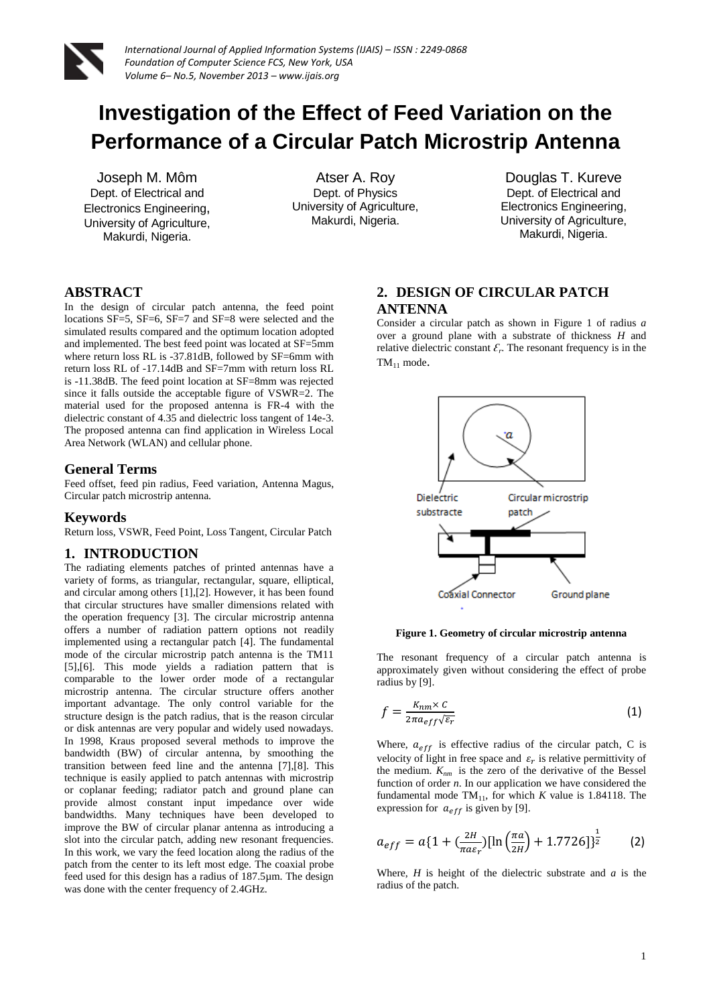

# **Investigation of the Effect of Feed Variation on the Performance of a Circular Patch Microstrip Antenna**

Joseph M. Môm Dept. of Electrical and Electronics Engineering, University of Agriculture, Makurdi, Nigeria.

Atser A. Roy Dept. of Physics University of Agriculture, Makurdi, Nigeria.

Douglas T. Kureve Dept. of Electrical and Electronics Engineering, University of Agriculture, Makurdi, Nigeria.

# **ABSTRACT**

In the design of circular patch antenna, the feed point locations SF=5, SF=6, SF=7 and SF=8 were selected and the simulated results compared and the optimum location adopted and implemented. The best feed point was located at SF=5mm where return loss RL is -37.81dB, followed by SF=6mm with return loss RL of -17.14dB and SF=7mm with return loss RL is -11.38dB. The feed point location at SF=8mm was rejected since it falls outside the acceptable figure of VSWR=2. The material used for the proposed antenna is FR-4 with the dielectric constant of 4.35 and dielectric loss tangent of 14e-3. The proposed antenna can find application in Wireless Local Area Network (WLAN) and cellular phone.

#### **General Terms**

Feed offset, feed pin radius, Feed variation, Antenna Magus, Circular patch microstrip antenna.

#### **Keywords**

Return loss, VSWR, Feed Point, Loss Tangent, Circular Patch

# **1. INTRODUCTION**

The radiating elements patches of printed antennas have a variety of forms, as triangular, rectangular, square, elliptical, and circular among others [1],[2]. However, it has been found that circular structures have smaller dimensions related with the operation frequency [3]. The circular microstrip antenna offers a number of radiation pattern options not readily implemented using a rectangular patch [4]. The fundamental mode of the circular microstrip patch antenna is the TM11 [5],[6]. This mode yields a radiation pattern that is comparable to the lower order mode of a rectangular microstrip antenna. The circular structure offers another important advantage. The only control variable for the structure design is the patch radius, that is the reason circular or disk antennas are very popular and widely used nowadays. In 1998, Kraus proposed several methods to improve the bandwidth (BW) of circular antenna, by smoothing the transition between feed line and the antenna [7],[8]. This technique is easily applied to patch antennas with microstrip or coplanar feeding; radiator patch and ground plane can provide almost constant input impedance over wide bandwidths. Many techniques have been developed to improve the BW of circular planar antenna as introducing a slot into the circular patch, adding new resonant frequencies. In this work, we vary the feed location along the radius of the patch from the center to its left most edge. The coaxial probe feed used for this design has a radius of 187.5µm. The design was done with the center frequency of 2.4GHz.

# **2. DESIGN OF CIRCULAR PATCH ANTENNA**

Consider a circular patch as shown in Figure 1 of radius *a* over a ground plane with a substrate of thickness *H* and relative dielectric constant  $\mathcal{E}_r$ . The resonant frequency is in the  $TM_{11}$  mode.



#### **Figure 1. Geometry of circular microstrip antenna**

The resonant frequency of a circular patch antenna is approximately given without considering the effect of probe radius by [9].

$$
f = \frac{K_{nm} \times c}{2\pi a_{eff} \sqrt{\varepsilon_r}}\tag{1}
$$

Where,  $a_{eff}$  is effective radius of the circular patch, C is velocity of light in free space and  $\varepsilon_r$  is relative permittivity of the medium.  $K_{nm}$  is the zero of the derivative of the Bessel function of order *n*. In our application we have considered the fundamental mode  $TM_{11}$ , for which *K* value is 1.84118. The expression for  $a_{eff}$  is given by [9].

$$
a_{eff} = a\{1 + \left(\frac{2H}{\pi a \varepsilon_r}\right)[\ln\left(\frac{\pi a}{2H}\right) + 1.7726]\}^{\frac{1}{2}} \tag{2}
$$

Where, *H* is height of the dielectric substrate and *a* is the radius of the patch.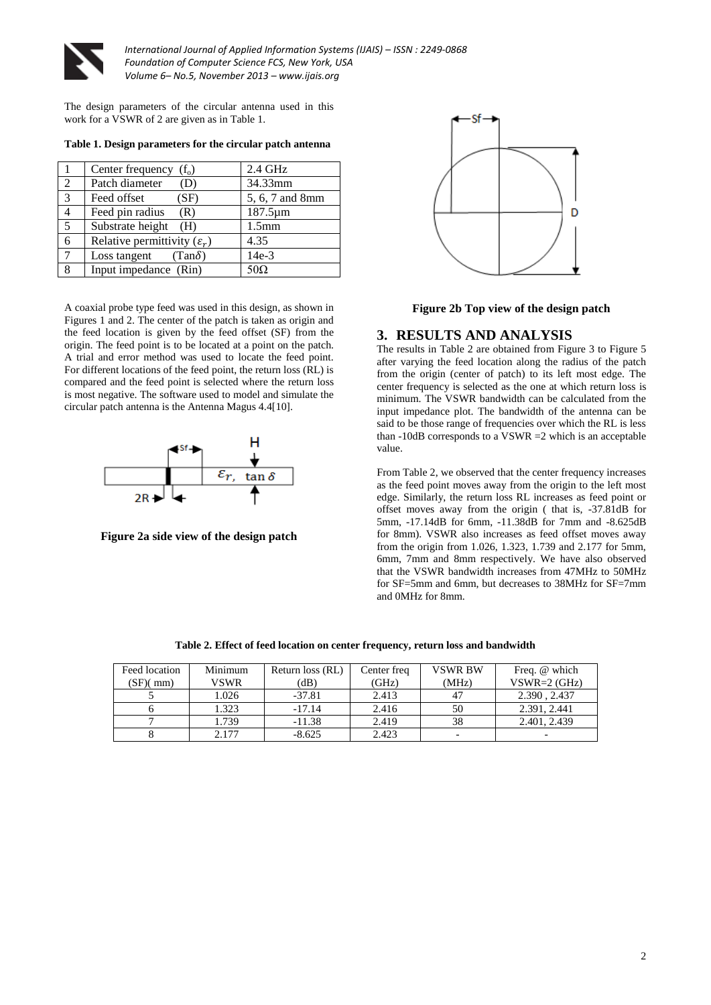

The design parameters of the circular antenna used in this work for a VSWR of 2 are given as in Table 1.

| - 1            | Center frequency $(f_0)$                | $2.4$ GHz         |
|----------------|-----------------------------------------|-------------------|
| $\mathfrak{D}$ | Patch diameter<br>(D)                   | 34.33mm           |
| $\overline{3}$ | Feed offset<br>(SF)                     | 5, 6, 7 and 8mm   |
| $\overline{4}$ | Feed pin radius<br>(R)                  | 187.5µm           |
| $\overline{5}$ | Substrate height<br>(H)                 | 1.5 <sub>mm</sub> |
| 6              | Relative permittivity $(\varepsilon_r)$ | 4.35              |
| 7              | Loss tangent $(Tan \delta)$             | $14e-3$           |
| 8              | Input impedance (Rin)                   | $50\Omega$        |

**Table 1. Design parameters for the circular patch antenna**

A coaxial probe type feed was used in this design, as shown in Figures 1 and 2. The center of the patch is taken as origin and the feed location is given by the feed offset (SF) from the origin. The feed point is to be located at a point on the patch. A trial and error method was used to locate the feed point. For different locations of the feed point, the return loss (RL) is compared and the feed point is selected where the return loss is most negative. The software used to model and simulate the circular patch antenna is the Antenna Magus 4.4[10].



**Figure 2a side view of the design patch**



**Figure 2b Top view of the design patch**

### **3. RESULTS AND ANALYSIS**

The results in Table 2 are obtained from Figure 3 to Figure 5 after varying the feed location along the radius of the patch from the origin (center of patch) to its left most edge. The center frequency is selected as the one at which return loss is minimum. The VSWR bandwidth can be calculated from the input impedance plot. The bandwidth of the antenna can be said to be those range of frequencies over which the RL is less than  $-10$ dB corresponds to a VSWR  $=2$  which is an acceptable value.

From Table 2, we observed that the center frequency increases as the feed point moves away from the origin to the left most edge. Similarly, the return loss RL increases as feed point or offset moves away from the origin ( that is, -37.81dB for 5mm, -17.14dB for 6mm, -11.38dB for 7mm and -8.625dB for 8mm). VSWR also increases as feed offset moves away from the origin from 1.026, 1.323, 1.739 and 2.177 for 5mm, 6mm, 7mm and 8mm respectively. We have also observed that the VSWR bandwidth increases from 47MHz to 50MHz for SF=5mm and 6mm, but decreases to 38MHz for SF=7mm and 0MHz for 8mm.

| Feed location | Minimum | Return loss (RL) | Center freq | <b>VSWR BW</b> | Freq. @ which  |
|---------------|---------|------------------|-------------|----------------|----------------|
| (SF)(mm)      | VSWR    | (dB)             | (GHz)       | (MHz)          | $VSWR=2$ (GHz) |
|               | 1.026   | $-37.81$         | 2.413       |                | 2.390, 2.437   |
|               | 1.323   | $-17.14$         | 2.416       | 50             | 2.391, 2.441   |
|               | 1.739   | $-11.38$         | 2.419       | 38             | 2.401, 2.439   |
|               | 2.177   | $-8.625$         | 2.423       |                |                |

**Table 2. Effect of feed location on center frequency, return loss and bandwidth**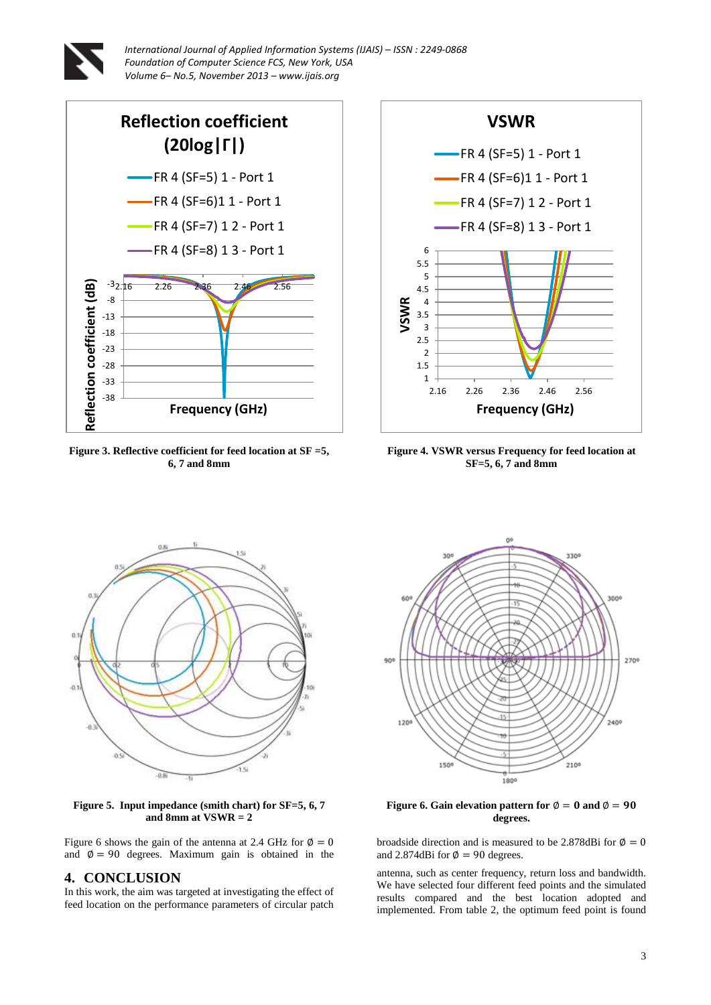



**Figure 3. Reflective coefficient for feed location at SF =5, 6, 7 and 8mm**



**Figure 4. VSWR versus Frequency for feed location at SF=5, 6, 7 and 8mm**



**Figure 5. Input impedance (smith chart) for SF=5, 6, 7 and 8mm at VSWR = 2**

Figure 6 shows the gain of the antenna at 2.4 GHz for  $\phi = 0$ and  $\varnothing = 90$  degrees. Maximum gain is obtained in the

# **4. CONCLUSION**

In this work, the aim was targeted at investigating the effect of feed location on the performance parameters of circular patch



**Figure 6. Gain elevation pattern for**  $\phi = 0$  **and**  $\phi = 90$ **degrees.**

broadside direction and is measured to be 2.878dBi for  $\phi = 0$ and 2.874dBi for  $\phi = 90$  degrees.

antenna, such as center frequency, return loss and bandwidth. We have selected four different feed points and the simulated results compared and the best location adopted and implemented. From table 2, the optimum feed point is found